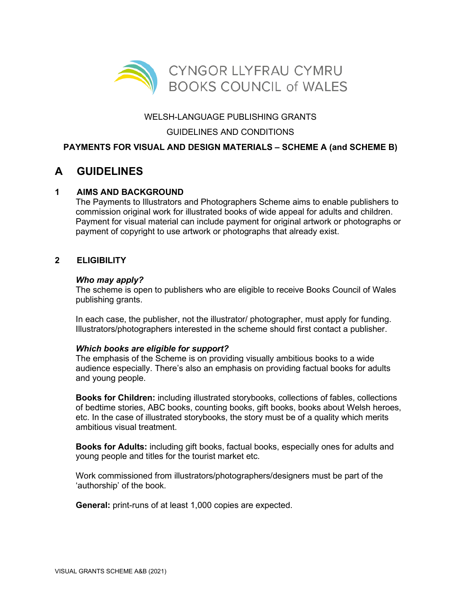

# WELSH-LANGUAGE PUBLISHING GRANTS

## GUIDELINES AND CONDITIONS

# **PAYMENTS FOR VISUAL AND DESIGN MATERIALS – SCHEME A (and SCHEME B)**

# **A GUIDELINES**

## **1 AIMS AND BACKGROUND**

The Payments to Illustrators and Photographers Scheme aims to enable publishers to commission original work for illustrated books of wide appeal for adults and children. Payment for visual material can include payment for original artwork or photographs or payment of copyright to use artwork or photographs that already exist.

### **2 ELIGIBILITY**

#### *Who may apply?*

The scheme is open to publishers who are eligible to receive Books Council of Wales publishing grants.

In each case, the publisher, not the illustrator/ photographer, must apply for funding. Illustrators/photographers interested in the scheme should first contact a publisher.

### *Which books are eligible for support?*

The emphasis of the Scheme is on providing visually ambitious books to a wide audience especially. There's also an emphasis on providing factual books for adults and young people.

**Books for Children:** including illustrated storybooks, collections of fables, collections of bedtime stories, ABC books, counting books, gift books, books about Welsh heroes, etc. In the case of illustrated storybooks, the story must be of a quality which merits ambitious visual treatment.

**Books for Adults:** including gift books, factual books, especially ones for adults and young people and titles for the tourist market etc.

Work commissioned from illustrators/photographers/designers must be part of the 'authorship' of the book.

**General:** print-runs of at least 1,000 copies are expected.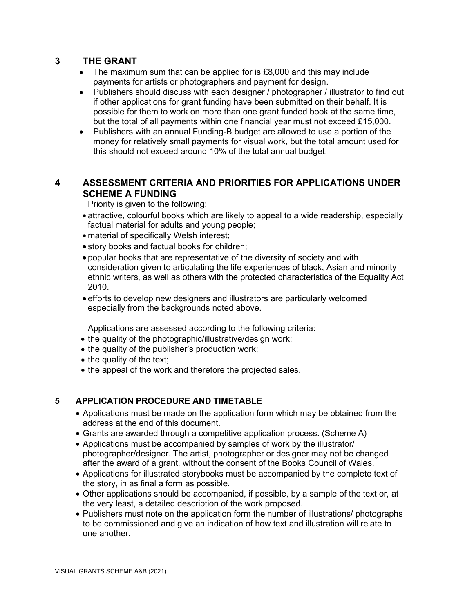# **3 THE GRANT**

- The maximum sum that can be applied for is £8,000 and this may include payments for artists or photographers and payment for design.
- Publishers should discuss with each designer / photographer / illustrator to find out if other applications for grant funding have been submitted on their behalf. It is possible for them to work on more than one grant funded book at the same time, but the total of all payments within one financial year must not exceed £15,000.
- Publishers with an annual Funding-B budget are allowed to use a portion of the money for relatively small payments for visual work, but the total amount used for this should not exceed around 10% of the total annual budget.

# **4 ASSESSMENT CRITERIA AND PRIORITIES FOR APPLICATIONS UNDER SCHEME A FUNDING**

Priority is given to the following:

- attractive, colourful books which are likely to appeal to a wide readership, especially factual material for adults and young people;
- material of specifically Welsh interest;
- story books and factual books for children;
- popular books that are representative of the diversity of society and with consideration given to articulating the life experiences of black, Asian and minority ethnic writers, as well as others with the protected characteristics of the Equality Act 2010.
- efforts to develop new designers and illustrators are particularly welcomed especially from the backgrounds noted above.

Applications are assessed according to the following criteria:

- the quality of the photographic/illustrative/design work;
- the quality of the publisher's production work;
- the quality of the text;
- the appeal of the work and therefore the projected sales.

## **5 APPLICATION PROCEDURE AND TIMETABLE**

- Applications must be made on the application form which may be obtained from the address at the end of this document.
- Grants are awarded through a competitive application process. (Scheme A)
- Applications must be accompanied by samples of work by the illustrator/ photographer/designer. The artist, photographer or designer may not be changed after the award of a grant, without the consent of the Books Council of Wales.
- Applications for illustrated storybooks must be accompanied by the complete text of the story, in as final a form as possible.
- Other applications should be accompanied, if possible, by a sample of the text or, at the very least, a detailed description of the work proposed.
- Publishers must note on the application form the number of illustrations/ photographs to be commissioned and give an indication of how text and illustration will relate to one another.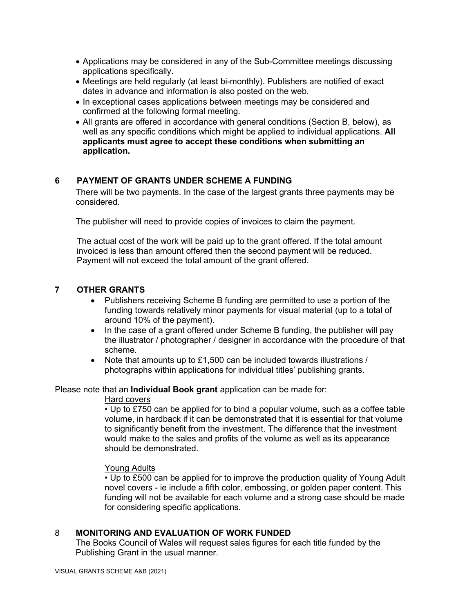- Applications may be considered in any of the Sub-Committee meetings discussing applications specifically.
- Meetings are held regularly (at least bi-monthly). Publishers are notified of exact dates in advance and information is also posted on the web.
- In exceptional cases applications between meetings may be considered and confirmed at the following formal meeting.
- All grants are offered in accordance with general conditions (Section B, below), as well as any specific conditions which might be applied to individual applications. **All applicants must agree to accept these conditions when submitting an application.**

## **6 PAYMENT OF GRANTS UNDER SCHEME A FUNDING**

There will be two payments. In the case of the largest grants three payments may be considered.

The publisher will need to provide copies of invoices to claim the payment.

The actual cost of the work will be paid up to the grant offered. If the total amount invoiced is less than amount offered then the second payment will be reduced. Payment will not exceed the total amount of the grant offered.

### **7 OTHER GRANTS**

- Publishers receiving Scheme B funding are permitted to use a portion of the funding towards relatively minor payments for visual material (up to a total of around 10% of the payment).
- In the case of a grant offered under Scheme B funding, the publisher will pay the illustrator / photographer / designer in accordance with the procedure of that scheme.
- Note that amounts up to £1,500 can be included towards illustrations / photographs within applications for individual titles' publishing grants.

Please note that an **Individual Book grant** application can be made for:

#### Hard covers

• Up to £750 can be applied for to bind a popular volume, such as a coffee table volume, in hardback if it can be demonstrated that it is essential for that volume to significantly benefit from the investment. The difference that the investment would make to the sales and profits of the volume as well as its appearance should be demonstrated.

### Young Adults

• Up to £500 can be applied for to improve the production quality of Young Adult novel covers - ie include a fifth color, embossing, or golden paper content. This funding will not be available for each volume and a strong case should be made for considering specific applications.

### 8 **MONITORING AND EVALUATION OF WORK FUNDED**

The Books Council of Wales will request sales figures for each title funded by the Publishing Grant in the usual manner.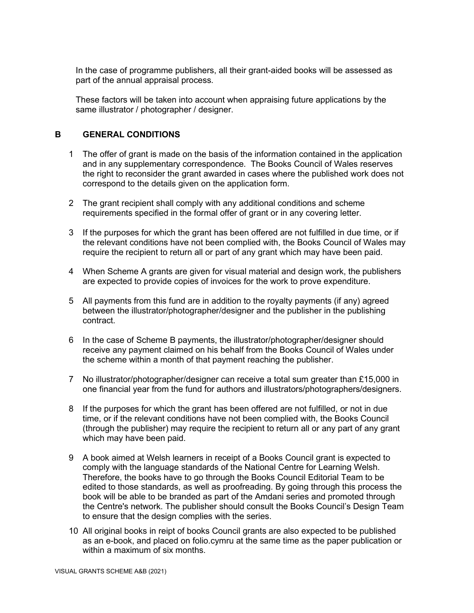In the case of programme publishers, all their grant-aided books will be assessed as part of the annual appraisal process.

These factors will be taken into account when appraising future applications by the same illustrator / photographer / designer.

### **B GENERAL CONDITIONS**

- 1 The offer of grant is made on the basis of the information contained in the application and in any supplementary correspondence. The Books Council of Wales reserves the right to reconsider the grant awarded in cases where the published work does not correspond to the details given on the application form.
- 2 The grant recipient shall comply with any additional conditions and scheme requirements specified in the formal offer of grant or in any covering letter.
- 3 If the purposes for which the grant has been offered are not fulfilled in due time, or if the relevant conditions have not been complied with, the Books Council of Wales may require the recipient to return all or part of any grant which may have been paid.
- 4 When Scheme A grants are given for visual material and design work, the publishers are expected to provide copies of invoices for the work to prove expenditure.
- 5 All payments from this fund are in addition to the royalty payments (if any) agreed between the illustrator/photographer/designer and the publisher in the publishing contract.
- 6 In the case of Scheme B payments, the illustrator/photographer/designer should receive any payment claimed on his behalf from the Books Council of Wales under the scheme within a month of that payment reaching the publisher.
- 7 No illustrator/photographer/designer can receive a total sum greater than £15,000 in one financial year from the fund for authors and illustrators/photographers/designers.
- 8 If the purposes for which the grant has been offered are not fulfilled, or not in due time, or if the relevant conditions have not been complied with, the Books Council (through the publisher) may require the recipient to return all or any part of any grant which may have been paid.
- 9 A book aimed at Welsh learners in receipt of a Books Council grant is expected to comply with the language standards of the National Centre for Learning Welsh. Therefore, the books have to go through the Books Council Editorial Team to be edited to those standards, as well as proofreading. By going through this process the book will be able to be branded as part of the Amdani series and promoted through the Centre's network. The publisher should consult the Books Council's Design Team to ensure that the design complies with the series.
- 10 All original books in reipt of books Council grants are also expected to be published as an e-book, and placed on folio.cymru at the same time as the paper publication or within a maximum of six months.